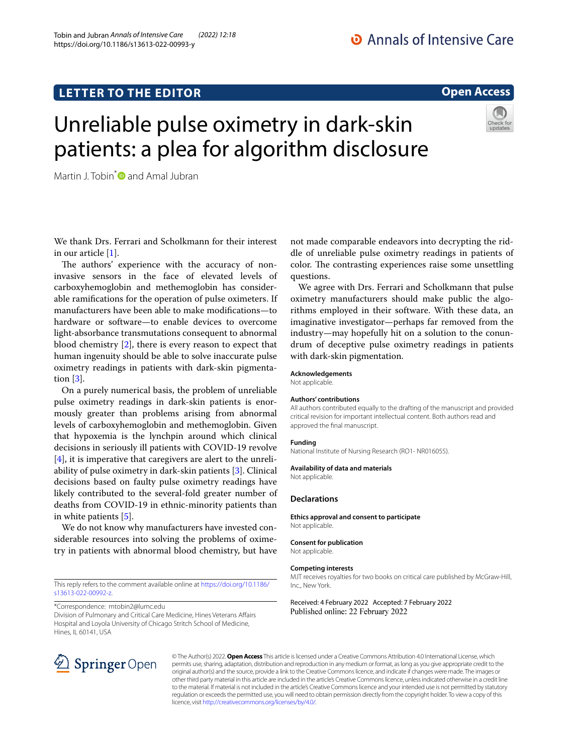# **LETTER TO THE EDITOR**

# **Open Access**

# Unreliable pulse oximetry in dark-skin patients: a plea for algorithm disclosure

Martin J. Tobin<sup>[\\*](http://orcid.org/0000-0002-8762-3125)</sup> $\bullet$  and Amal Jubran

We thank Drs. Ferrari and Scholkmann for their interest in our article [[1\]](#page-1-0).

The authors' experience with the accuracy of noninvasive sensors in the face of elevated levels of carboxyhemoglobin and methemoglobin has considerable ramifcations for the operation of pulse oximeters. If manufacturers have been able to make modifcations—to hardware or software—to enable devices to overcome light-absorbance transmutations consequent to abnormal blood chemistry [\[2](#page-1-1)], there is every reason to expect that human ingenuity should be able to solve inaccurate pulse oximetry readings in patients with dark-skin pigmentation [[3\]](#page-1-2).

On a purely numerical basis, the problem of unreliable pulse oximetry readings in dark-skin patients is enormously greater than problems arising from abnormal levels of carboxyhemoglobin and methemoglobin. Given that hypoxemia is the lynchpin around which clinical decisions in seriously ill patients with COVID-19 revolve  $[4]$  $[4]$ , it is imperative that caregivers are alert to the unreliability of pulse oximetry in dark-skin patients [\[3](#page-1-2)]. Clinical decisions based on faulty pulse oximetry readings have likely contributed to the several-fold greater number of deaths from COVID-19 in ethnic-minority patients than in white patients [[5\]](#page-1-4).

We do not know why manufacturers have invested considerable resources into solving the problems of oximetry in patients with abnormal blood chemistry, but have

This reply refers to the comment available online at [https://doi.org/10.1186/](https://doi.org/10.1186/s13613-022-00992-z) [s13613-022-00992-z.](https://doi.org/10.1186/s13613-022-00992-z)

\*Correspondence: mtobin2@lumc.edu

Division of Pulmonary and Critical Care Medicine, Hines Veterans Afairs Hospital and Loyola University of Chicago Stritch School of Medicine, Hines, IL 60141, USA



We agree with Drs. Ferrari and Scholkmann that pulse oximetry manufacturers should make public the algorithms employed in their software. With these data, an imaginative investigator—perhaps far removed from the industry—may hopefully hit on a solution to the conundrum of deceptive pulse oximetry readings in patients with dark-skin pigmentation.

## **Acknowledgements**

Not applicable.

### **Authors' contributions**

All authors contributed equally to the drafting of the manuscript and provided critical revision for important intellectual content. Both authors read and approved the fnal manuscript.

#### **Funding**

National Institute of Nursing Research (RO1- NR016055).

#### **Availability of data and materials**

Not applicable.

## **Declarations**

**Ethics approval and consent to participate** Not applicable.

#### **Consent for publication**

Not applicable.

#### **Competing interests**

MJT receives royalties for two books on critical care published by McGraw-Hill, Inc., New York.

## Received: 4 February 2022 Accepted: 7 February 2022 Published online: 22 February 2022



© The Author(s) 2022. **Open Access** This article is licensed under a Creative Commons Attribution 4.0 International License, which permits use, sharing, adaptation, distribution and reproduction in any medium or format, as long as you give appropriate credit to the original author(s) and the source, provide a link to the Creative Commons licence, and indicate if changes were made. The images or other third party material in this article are included in the article's Creative Commons licence, unless indicated otherwise in a credit line to the material. If material is not included in the article's Creative Commons licence and your intended use is not permitted by statutory regulation or exceeds the permitted use, you will need to obtain permission directly from the copyright holder. To view a copy of this licence, visit [http://creativecommons.org/licenses/by/4.0/.](http://creativecommons.org/licenses/by/4.0/)